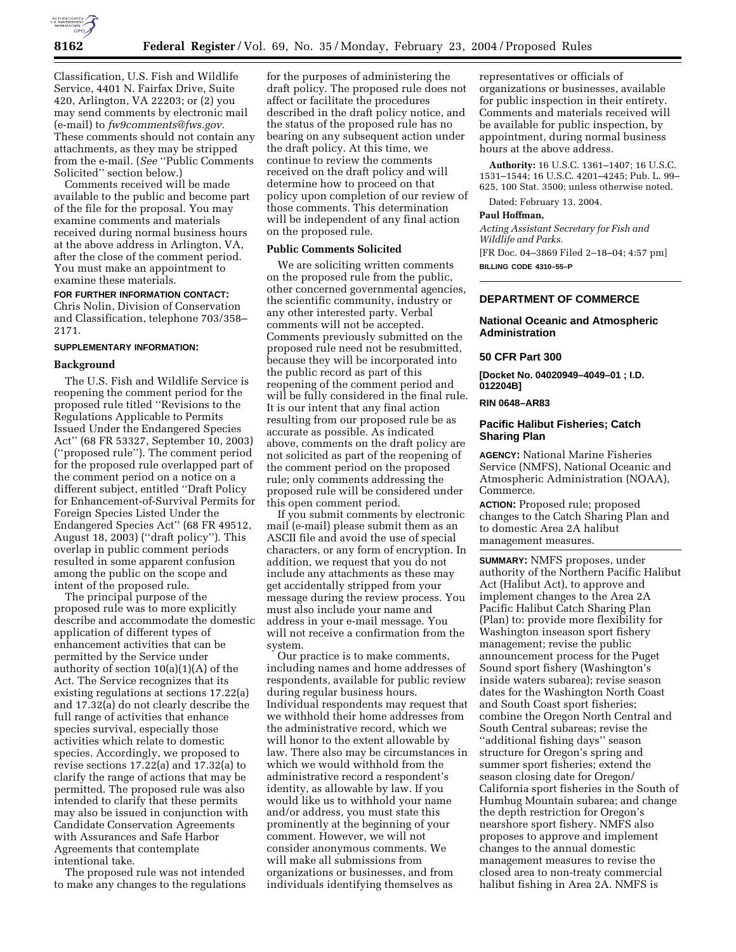

Classification, U.S. Fish and Wildlife Service, 4401 N. Fairfax Drive, Suite 420, Arlington, VA 22203; or (2) you may send comments by electronic mail (e-mail) to *fw9comments@fws.gov.* These comments should not contain any attachments, as they may be stripped from the e-mail. (*See* ''Public Comments Solicited'' section below.)

Comments received will be made available to the public and become part of the file for the proposal. You may examine comments and materials received during normal business hours at the above address in Arlington, VA, after the close of the comment period. You must make an appointment to examine these materials.

**FOR FURTHER INFORMATION CONTACT:** Chris Nolin, Division of Conservation and Classification, telephone 703/358– 2171.

## **SUPPLEMENTARY INFORMATION:**

## **Background**

The U.S. Fish and Wildlife Service is reopening the comment period for the proposed rule titled ''Revisions to the Regulations Applicable to Permits Issued Under the Endangered Species Act'' (68 FR 53327, September 10, 2003) (''proposed rule''). The comment period for the proposed rule overlapped part of the comment period on a notice on a different subject, entitled ''Draft Policy for Enhancement-of-Survival Permits for Foreign Species Listed Under the Endangered Species Act'' (68 FR 49512, August 18, 2003) (''draft policy''). This overlap in public comment periods resulted in some apparent confusion among the public on the scope and intent of the proposed rule.

The principal purpose of the proposed rule was to more explicitly describe and accommodate the domestic application of different types of enhancement activities that can be permitted by the Service under authority of section 10(a)(1)(A) of the Act. The Service recognizes that its existing regulations at sections 17.22(a) and 17.32(a) do not clearly describe the full range of activities that enhance species survival, especially those activities which relate to domestic species. Accordingly, we proposed to revise sections 17.22(a) and 17.32(a) to clarify the range of actions that may be permitted. The proposed rule was also intended to clarify that these permits may also be issued in conjunction with Candidate Conservation Agreements with Assurances and Safe Harbor Agreements that contemplate intentional take.

The proposed rule was not intended to make any changes to the regulations

for the purposes of administering the draft policy. The proposed rule does not affect or facilitate the procedures described in the draft policy notice, and the status of the proposed rule has no bearing on any subsequent action under the draft policy. At this time, we continue to review the comments received on the draft policy and will determine how to proceed on that policy upon completion of our review of those comments. This determination will be independent of any final action on the proposed rule.

#### **Public Comments Solicited**

We are soliciting written comments on the proposed rule from the public, other concerned governmental agencies, the scientific community, industry or any other interested party. Verbal comments will not be accepted. Comments previously submitted on the proposed rule need not be resubmitted, because they will be incorporated into the public record as part of this reopening of the comment period and will be fully considered in the final rule. It is our intent that any final action resulting from our proposed rule be as accurate as possible. As indicated above, comments on the draft policy are not solicited as part of the reopening of the comment period on the proposed rule; only comments addressing the proposed rule will be considered under this open comment period.

If you submit comments by electronic mail (e-mail) please submit them as an ASCII file and avoid the use of special characters, or any form of encryption. In addition, we request that you do not include any attachments as these may get accidentally stripped from your message during the review process. You must also include your name and address in your e-mail message. You will not receive a confirmation from the system.

Our practice is to make comments, including names and home addresses of respondents, available for public review during regular business hours. Individual respondents may request that we withhold their home addresses from the administrative record, which we will honor to the extent allowable by law. There also may be circumstances in which we would withhold from the administrative record a respondent's identity, as allowable by law. If you would like us to withhold your name and/or address, you must state this prominently at the beginning of your comment. However, we will not consider anonymous comments. We will make all submissions from organizations or businesses, and from individuals identifying themselves as

representatives or officials of organizations or businesses, available for public inspection in their entirety. Comments and materials received will be available for public inspection, by appointment, during normal business hours at the above address.

**Authority:** 16 U.S.C. 1361–1407; 16 U.S.C. 1531–1544; 16 U.S.C. 4201–4245; Pub. L. 99– 625, 100 Stat. 3500; unless otherwise noted.

Dated: February 13, 2004.

## **Paul Hoffman,**

*Acting Assistant Secretary for Fish and Wildlife and Parks.*

[FR Doc. 04–3869 Filed 2–18–04; 4:57 pm] **BILLING CODE 4310–55–P**

#### **DEPARTMENT OF COMMERCE**

## **National Oceanic and Atmospheric Administration**

#### **50 CFR Part 300**

**[Docket No. 04020949–4049–01 ; I.D. 012204B]**

# **RIN 0648–AR83**

## **Pacific Halibut Fisheries; Catch Sharing Plan**

**AGENCY:** National Marine Fisheries Service (NMFS), National Oceanic and Atmospheric Administration (NOAA), Commerce.

**ACTION:** Proposed rule; proposed changes to the Catch Sharing Plan and to domestic Area 2A halibut management measures.

**SUMMARY:** NMFS proposes, under authority of the Northern Pacific Halibut Act (Halibut Act), to approve and implement changes to the Area 2A Pacific Halibut Catch Sharing Plan (Plan) to: provide more flexibility for Washington inseason sport fishery management; revise the public announcement process for the Puget Sound sport fishery (Washington's inside waters subarea); revise season dates for the Washington North Coast and South Coast sport fisheries; combine the Oregon North Central and South Central subareas; revise the ''additional fishing days'' season structure for Oregon's spring and summer sport fisheries; extend the season closing date for Oregon/ California sport fisheries in the South of Humbug Mountain subarea; and change the depth restriction for Oregon's nearshore sport fishery. NMFS also proposes to approve and implement changes to the annual domestic management measures to revise the closed area to non-treaty commercial halibut fishing in Area 2A. NMFS is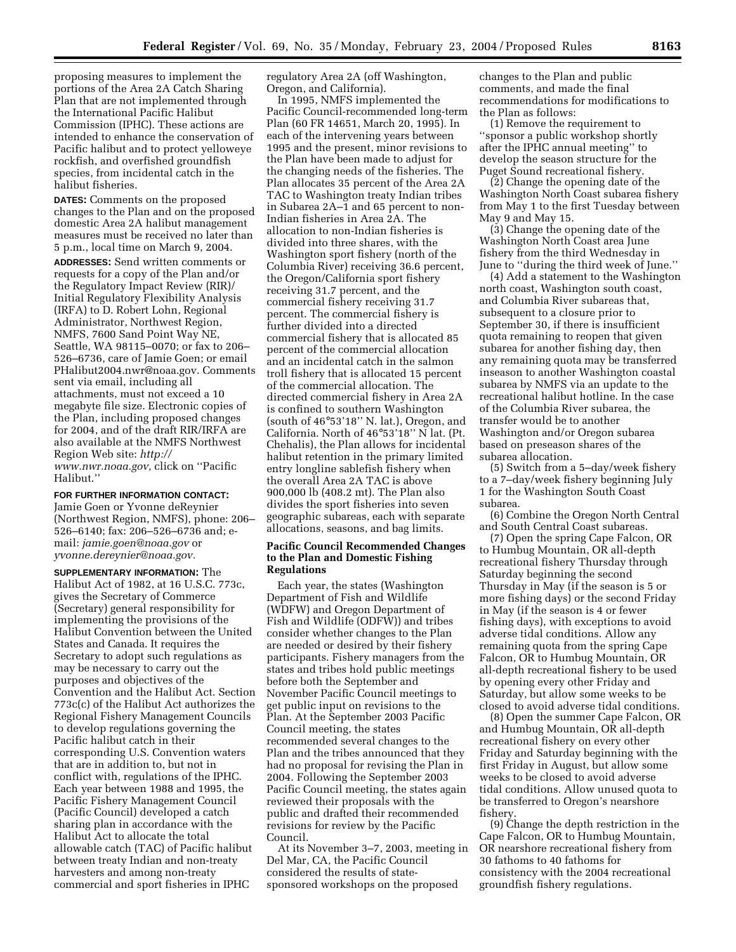proposing measures to implement the portions of the Area 2A Catch Sharing Plan that are not implemented through the International Pacific Halibut Commission (IPHC). These actions are intended to enhance the conservation of Pacific halibut and to protect yelloweye rockfish, and overfished groundfish species, from incidental catch in the halibut fisheries.

**DATES:** Comments on the proposed changes to the Plan and on the proposed domestic Area 2A halibut management measures must be received no later than 5 p.m., local time on March 9, 2004.

**ADDRESSES:** Send written comments or requests for a copy of the Plan and/or the Regulatory Impact Review (RIR)/ Initial Regulatory Flexibility Analysis (IRFA) to D. Robert Lohn, Regional Administrator, Northwest Region, NMFS, 7600 Sand Point Way NE, Seattle, WA 98115–0070; or fax to 206– 526–6736, care of Jamie Goen; or email PHalibut2004.nwr@noaa.gov. Comments sent via email, including all attachments, must not exceed a 10 megabyte file size. Electronic copies of the Plan, including proposed changes for 2004, and of the draft RIR/IRFA are also available at the NMFS Northwest Region Web site: *http:// www.nwr.noaa.gov,* click on ''Pacific Halibut.''

# **FOR FURTHER INFORMATION CONTACT:**

Jamie Goen or Yvonne deReynier (Northwest Region, NMFS), phone: 206– 526–6140; fax: 206–526–6736 and; email: *jamie.goen@noaa.gov* or *yvonne.dereynier@noaa.gov.*

**SUPPLEMENTARY INFORMATION:** The Halibut Act of 1982, at 16 U.S.C. 773c, gives the Secretary of Commerce (Secretary) general responsibility for implementing the provisions of the Halibut Convention between the United States and Canada. It requires the Secretary to adopt such regulations as may be necessary to carry out the purposes and objectives of the Convention and the Halibut Act. Section 773c(c) of the Halibut Act authorizes the Regional Fishery Management Councils to develop regulations governing the Pacific halibut catch in their corresponding U.S. Convention waters that are in addition to, but not in conflict with, regulations of the IPHC. Each year between 1988 and 1995, the Pacific Fishery Management Council (Pacific Council) developed a catch sharing plan in accordance with the Halibut Act to allocate the total allowable catch (TAC) of Pacific halibut between treaty Indian and non-treaty harvesters and among non-treaty commercial and sport fisheries in IPHC

regulatory Area 2A (off Washington, Oregon, and California).

In 1995, NMFS implemented the Pacific Council-recommended long-term Plan (60 FR 14651, March 20, 1995). In each of the intervening years between 1995 and the present, minor revisions to the Plan have been made to adjust for the changing needs of the fisheries. The Plan allocates 35 percent of the Area 2A TAC to Washington treaty Indian tribes in Subarea 2A–1 and 65 percent to non-Indian fisheries in Area 2A. The allocation to non-Indian fisheries is divided into three shares, with the Washington sport fishery (north of the Columbia River) receiving 36.6 percent, the Oregon/California sport fishery receiving 31.7 percent, and the commercial fishery receiving 31.7 percent. The commercial fishery is further divided into a directed commercial fishery that is allocated 85 percent of the commercial allocation and an incidental catch in the salmon troll fishery that is allocated 15 percent of the commercial allocation. The directed commercial fishery in Area 2A is confined to southern Washington (south of 46°53'18'' N. lat.), Oregon, and California. North of 46°53'18'' N lat. (Pt. Chehalis), the Plan allows for incidental halibut retention in the primary limited entry longline sablefish fishery when the overall Area 2A TAC is above 900,000 lb (408.2 mt). The Plan also divides the sport fisheries into seven geographic subareas, each with separate allocations, seasons, and bag limits.

## **Pacific Council Recommended Changes to the Plan and Domestic Fishing Regulations**

Each year, the states (Washington Department of Fish and Wildlife (WDFW) and Oregon Department of Fish and Wildlife (ODFW)) and tribes consider whether changes to the Plan are needed or desired by their fishery participants. Fishery managers from the states and tribes hold public meetings before both the September and November Pacific Council meetings to get public input on revisions to the Plan. At the September 2003 Pacific Council meeting, the states recommended several changes to the Plan and the tribes announced that they had no proposal for revising the Plan in 2004. Following the September 2003 Pacific Council meeting, the states again reviewed their proposals with the public and drafted their recommended revisions for review by the Pacific Council.

At its November 3–7, 2003, meeting in Del Mar, CA, the Pacific Council considered the results of statesponsored workshops on the proposed

changes to the Plan and public comments, and made the final recommendations for modifications to the Plan as follows:

(1) Remove the requirement to ''sponsor a public workshop shortly after the IPHC annual meeting'' to develop the season structure for the Puget Sound recreational fishery.

(2) Change the opening date of the Washington North Coast subarea fishery from May 1 to the first Tuesday between May 9 and May 15.

(3) Change the opening date of the Washington North Coast area June fishery from the third Wednesday in June to ''during the third week of June.''

(4) Add a statement to the Washington north coast, Washington south coast, and Columbia River subareas that, subsequent to a closure prior to September 30, if there is insufficient quota remaining to reopen that given subarea for another fishing day, then any remaining quota may be transferred inseason to another Washington coastal subarea by NMFS via an update to the recreational halibut hotline. In the case of the Columbia River subarea, the transfer would be to another Washington and/or Oregon subarea based on preseason shares of the subarea allocation.

(5) Switch from a 5–day/week fishery to a 7–day/week fishery beginning July 1 for the Washington South Coast subarea.

(6) Combine the Oregon North Central and South Central Coast subareas.

(7) Open the spring Cape Falcon, OR to Humbug Mountain, OR all-depth recreational fishery Thursday through Saturday beginning the second Thursday in May (if the season is 5 or more fishing days) or the second Friday in May (if the season is 4 or fewer fishing days), with exceptions to avoid adverse tidal conditions. Allow any remaining quota from the spring Cape Falcon, OR to Humbug Mountain, OR all-depth recreational fishery to be used by opening every other Friday and Saturday, but allow some weeks to be closed to avoid adverse tidal conditions.

(8) Open the summer Cape Falcon, OR and Humbug Mountain, OR all-depth recreational fishery on every other Friday and Saturday beginning with the first Friday in August, but allow some weeks to be closed to avoid adverse tidal conditions. Allow unused quota to be transferred to Oregon's nearshore fishery.

(9) Change the depth restriction in the Cape Falcon, OR to Humbug Mountain, OR nearshore recreational fishery from 30 fathoms to 40 fathoms for consistency with the 2004 recreational groundfish fishery regulations.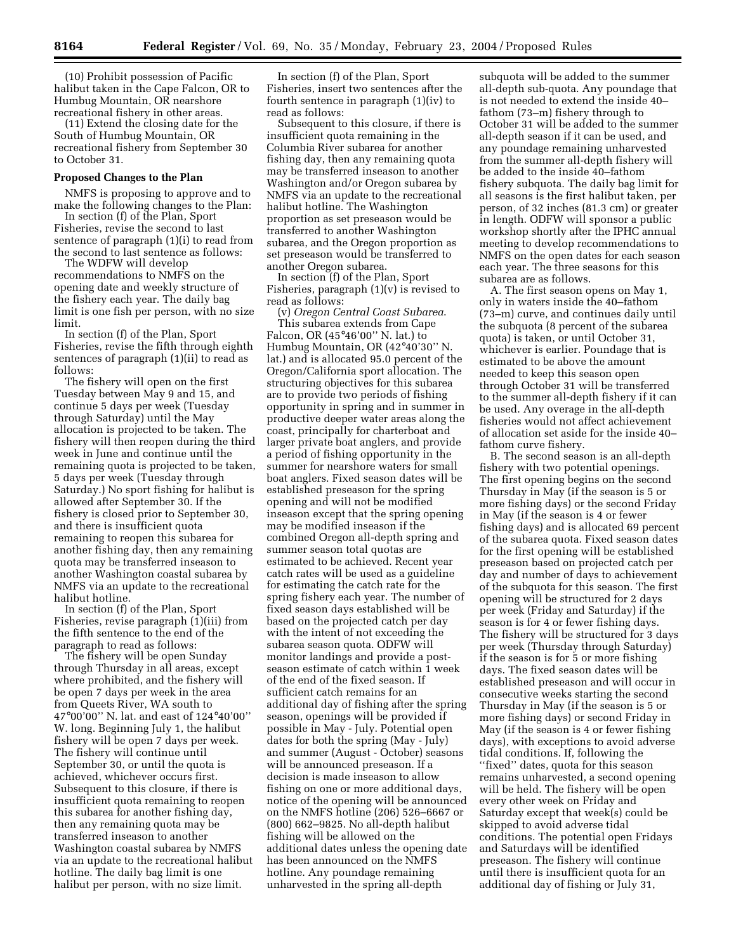(10) Prohibit possession of Pacific halibut taken in the Cape Falcon, OR to Humbug Mountain, OR nearshore recreational fishery in other areas.

(11) Extend the closing date for the South of Humbug Mountain, OR recreational fishery from September 30 to October 31.

#### **Proposed Changes to the Plan**

NMFS is proposing to approve and to make the following changes to the Plan:

In section (f) of the Plan, Sport Fisheries, revise the second to last sentence of paragraph (1)(i) to read from the second to last sentence as follows:

The WDFW will develop recommendations to NMFS on the opening date and weekly structure of the fishery each year. The daily bag limit is one fish per person, with no size limit.

In section (f) of the Plan, Sport Fisheries, revise the fifth through eighth sentences of paragraph (1)(ii) to read as follows:

The fishery will open on the first Tuesday between May 9 and 15, and continue 5 days per week (Tuesday through Saturday) until the May allocation is projected to be taken. The fishery will then reopen during the third week in June and continue until the remaining quota is projected to be taken, 5 days per week (Tuesday through Saturday.) No sport fishing for halibut is allowed after September 30. If the fishery is closed prior to September 30, and there is insufficient quota remaining to reopen this subarea for another fishing day, then any remaining quota may be transferred inseason to another Washington coastal subarea by NMFS via an update to the recreational halibut hotline.

In section (f) of the Plan, Sport Fisheries, revise paragraph (1)(iii) from the fifth sentence to the end of the paragraph to read as follows:

The fishery will be open Sunday through Thursday in all areas, except where prohibited, and the fishery will be open 7 days per week in the area from Queets River, WA south to 47°00'00'' N. lat. and east of 124°40'00'' W. long. Beginning July 1, the halibut fishery will be open 7 days per week. The fishery will continue until September 30, or until the quota is achieved, whichever occurs first. Subsequent to this closure, if there is insufficient quota remaining to reopen this subarea for another fishing day, then any remaining quota may be transferred inseason to another Washington coastal subarea by NMFS via an update to the recreational halibut hotline. The daily bag limit is one halibut per person, with no size limit.

In section (f) of the Plan, Sport Fisheries, insert two sentences after the fourth sentence in paragraph (1)(iv) to read as follows:

Subsequent to this closure, if there is insufficient quota remaining in the Columbia River subarea for another fishing day, then any remaining quota may be transferred inseason to another Washington and/or Oregon subarea by NMFS via an update to the recreational halibut hotline. The Washington proportion as set preseason would be transferred to another Washington subarea, and the Oregon proportion as set preseason would be transferred to another Oregon subarea.

In section (f) of the Plan, Sport Fisheries, paragraph (1)(v) is revised to read as follows:

(v) *Oregon Central Coast Subarea*. This subarea extends from Cape Falcon, OR (45°46'00'' N. lat.) to Humbug Mountain, OR (42°40'30'' N. lat.) and is allocated 95.0 percent of the Oregon/California sport allocation. The structuring objectives for this subarea are to provide two periods of fishing opportunity in spring and in summer in productive deeper water areas along the coast, principally for charterboat and larger private boat anglers, and provide a period of fishing opportunity in the summer for nearshore waters for small boat anglers. Fixed season dates will be established preseason for the spring opening and will not be modified inseason except that the spring opening may be modified inseason if the combined Oregon all-depth spring and summer season total quotas are estimated to be achieved. Recent year catch rates will be used as a guideline for estimating the catch rate for the spring fishery each year. The number of fixed season days established will be based on the projected catch per day with the intent of not exceeding the subarea season quota. ODFW will monitor landings and provide a postseason estimate of catch within 1 week of the end of the fixed season. If sufficient catch remains for an additional day of fishing after the spring season, openings will be provided if possible in May - July. Potential open dates for both the spring (May - July) and summer (August - October) seasons will be announced preseason. If a decision is made inseason to allow fishing on one or more additional days, notice of the opening will be announced on the NMFS hotline (206) 526–6667 or (800) 662–9825. No all-depth halibut fishing will be allowed on the additional dates unless the opening date has been announced on the NMFS hotline. Any poundage remaining unharvested in the spring all-depth

subquota will be added to the summer all-depth sub-quota. Any poundage that is not needed to extend the inside 40– fathom (73–m) fishery through to October 31 will be added to the summer all-depth season if it can be used, and any poundage remaining unharvested from the summer all-depth fishery will be added to the inside 40–fathom fishery subquota. The daily bag limit for all seasons is the first halibut taken, per person, of 32 inches (81.3 cm) or greater in length. ODFW will sponsor a public workshop shortly after the IPHC annual meeting to develop recommendations to NMFS on the open dates for each season each year. The three seasons for this subarea are as follows.

A. The first season opens on May 1, only in waters inside the 40–fathom (73–m) curve, and continues daily until the subquota (8 percent of the subarea quota) is taken, or until October 31, whichever is earlier. Poundage that is estimated to be above the amount needed to keep this season open through October 31 will be transferred to the summer all-depth fishery if it can be used. Any overage in the all-depth fisheries would not affect achievement of allocation set aside for the inside 40– fathom curve fishery.

B. The second season is an all-depth fishery with two potential openings. The first opening begins on the second Thursday in May (if the season is 5 or more fishing days) or the second Friday in May (if the season is 4 or fewer fishing days) and is allocated 69 percent of the subarea quota. Fixed season dates for the first opening will be established preseason based on projected catch per day and number of days to achievement of the subquota for this season. The first opening will be structured for 2 days per week (Friday and Saturday) if the season is for 4 or fewer fishing days. The fishery will be structured for 3 days per week (Thursday through Saturday) if the season is for 5 or more fishing days. The fixed season dates will be established preseason and will occur in consecutive weeks starting the second Thursday in May (if the season is 5 or more fishing days) or second Friday in May (if the season is 4 or fewer fishing days), with exceptions to avoid adverse tidal conditions. If, following the "fixed" dates, quota for this season remains unharvested, a second opening will be held. The fishery will be open every other week on Friday and Saturday except that week(s) could be skipped to avoid adverse tidal conditions. The potential open Fridays and Saturdays will be identified preseason. The fishery will continue until there is insufficient quota for an additional day of fishing or July 31,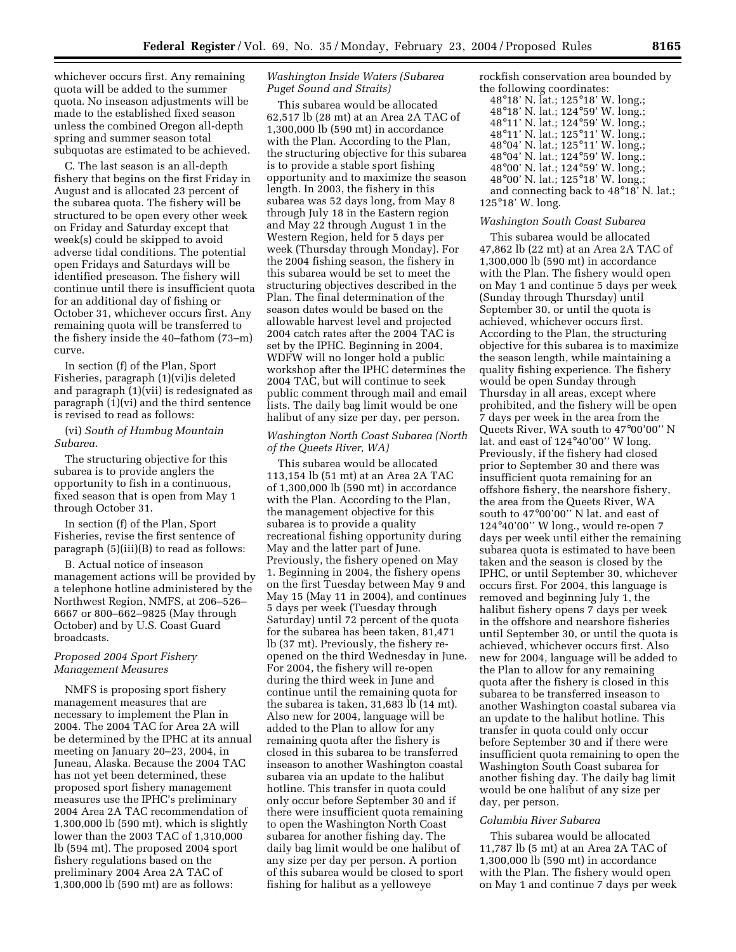whichever occurs first. Any remaining quota will be added to the summer quota. No inseason adjustments will be made to the established fixed season unless the combined Oregon all-depth spring and summer season total subquotas are estimated to be achieved.

C. The last season is an all-depth fishery that begins on the first Friday in August and is allocated 23 percent of the subarea quota. The fishery will be structured to be open every other week on Friday and Saturday except that week(s) could be skipped to avoid adverse tidal conditions. The potential open Fridays and Saturdays will be identified preseason. The fishery will continue until there is insufficient quota for an additional day of fishing or October 31, whichever occurs first. Any remaining quota will be transferred to the fishery inside the 40–fathom (73–m) curve.

In section (f) of the Plan, Sport Fisheries, paragraph (1)(vi)is deleted and paragraph (1)(vii) is redesignated as paragraph (1)(vi) and the third sentence is revised to read as follows:

(vi) *South of Humbug Mountain Subarea.*

The structuring objective for this subarea is to provide anglers the opportunity to fish in a continuous, fixed season that is open from May 1 through October 31.

In section (f) of the Plan, Sport Fisheries, revise the first sentence of paragraph (5)(iii)(B) to read as follows:

B. Actual notice of inseason management actions will be provided by a telephone hotline administered by the Northwest Region, NMFS, at 206–526– 6667 or 800–662–9825 (May through October) and by U.S. Coast Guard broadcasts.

## *Proposed 2004 Sport Fishery Management Measures*

NMFS is proposing sport fishery management measures that are necessary to implement the Plan in 2004. The 2004 TAC for Area 2A will be determined by the IPHC at its annual meeting on January 20–23, 2004, in Juneau, Alaska. Because the 2004 TAC has not yet been determined, these proposed sport fishery management measures use the IPHC's preliminary 2004 Area 2A TAC recommendation of 1,300,000 lb (590 mt), which is slightly lower than the 2003 TAC of 1,310,000 lb (594 mt). The proposed 2004 sport fishery regulations based on the preliminary 2004 Area 2A TAC of 1,300,000 lb (590 mt) are as follows:

# *Washington Inside Waters (Subarea Puget Sound and Straits)*

This subarea would be allocated 62,517 lb (28 mt) at an Area 2A TAC of 1,300,000 lb (590 mt) in accordance with the Plan. According to the Plan, the structuring objective for this subarea is to provide a stable sport fishing opportunity and to maximize the season length. In 2003, the fishery in this subarea was 52 days long, from May 8 through July 18 in the Eastern region and May 22 through August 1 in the Western Region, held for 5 days per week (Thursday through Monday). For the 2004 fishing season, the fishery in this subarea would be set to meet the structuring objectives described in the Plan. The final determination of the season dates would be based on the allowable harvest level and projected 2004 catch rates after the 2004 TAC is set by the IPHC. Beginning in 2004, WDFW will no longer hold a public workshop after the IPHC determines the 2004 TAC, but will continue to seek public comment through mail and email lists. The daily bag limit would be one halibut of any size per day, per person.

# *Washington North Coast Subarea (North of the Queets River, WA)*

This subarea would be allocated 113,154 lb (51 mt) at an Area 2A TAC of 1,300,000 lb (590 mt) in accordance with the Plan. According to the Plan, the management objective for this subarea is to provide a quality recreational fishing opportunity during May and the latter part of June. Previously, the fishery opened on May 1. Beginning in 2004, the fishery opens on the first Tuesday between May 9 and May 15 (May 11 in 2004), and continues 5 days per week (Tuesday through Saturday) until 72 percent of the quota for the subarea has been taken, 81,471 lb (37 mt). Previously, the fishery reopened on the third Wednesday in June. For 2004, the fishery will re-open during the third week in June and continue until the remaining quota for the subarea is taken, 31,683 lb (14 mt). Also new for 2004, language will be added to the Plan to allow for any remaining quota after the fishery is closed in this subarea to be transferred inseason to another Washington coastal subarea via an update to the halibut hotline. This transfer in quota could only occur before September 30 and if there were insufficient quota remaining to open the Washington North Coast subarea for another fishing day. The daily bag limit would be one halibut of any size per day per person. A portion of this subarea would be closed to sport fishing for halibut as a yelloweye

rockfish conservation area bounded by the following coordinates:

| 48°18' N. lat.; 125°18' W. long.;      |
|----------------------------------------|
| 48°18' N. lat.; 124°59' W. long.;      |
| 48°11' N. lat.; 124°59' W. long.;      |
| 48°11' N. lat.; 125°11' W. long.;      |
| 48°04' N. lat.; 125°11' W. long.;      |
| 48°04' N. lat.; 124°59' W. long.;      |
| 48°00' N. lat.; 124°59' W. long.;      |
| 48°00' N. lat.; 125°18' W. long.;      |
| and connecting back to 48°18' N. lat.; |
| $125^{\circ}18'$ W. long.              |

#### *Washington South Coast Subarea*

This subarea would be allocated 47,862 lb (22 mt) at an Area 2A TAC of 1,300,000 lb (590 mt) in accordance with the Plan. The fishery would open on May 1 and continue 5 days per week (Sunday through Thursday) until September 30, or until the quota is achieved, whichever occurs first. According to the Plan, the structuring objective for this subarea is to maximize the season length, while maintaining a quality fishing experience. The fishery would be open Sunday through Thursday in all areas, except where prohibited, and the fishery will be open 7 days per week in the area from the Queets River, WA south to 47°00'00'' N lat. and east of 124°40'00'' W long. Previously, if the fishery had closed prior to September 30 and there was insufficient quota remaining for an offshore fishery, the nearshore fishery, the area from the Queets River, WA south to 47°00'00'' N lat. and east of 124°40'00'' W long., would re-open 7 days per week until either the remaining subarea quota is estimated to have been taken and the season is closed by the IPHC, or until September 30, whichever occurs first. For 2004, this language is removed and beginning July 1, the halibut fishery opens 7 days per week in the offshore and nearshore fisheries until September 30, or until the quota is achieved, whichever occurs first. Also new for 2004, language will be added to the Plan to allow for any remaining quota after the fishery is closed in this subarea to be transferred inseason to another Washington coastal subarea via an update to the halibut hotline. This transfer in quota could only occur before September 30 and if there were insufficient quota remaining to open the Washington South Coast subarea for another fishing day. The daily bag limit would be one halibut of any size per day, per person.

# *Columbia River Subarea*

This subarea would be allocated 11,787 lb (5 mt) at an Area 2A TAC of 1,300,000 lb (590 mt) in accordance with the Plan. The fishery would open on May 1 and continue 7 days per week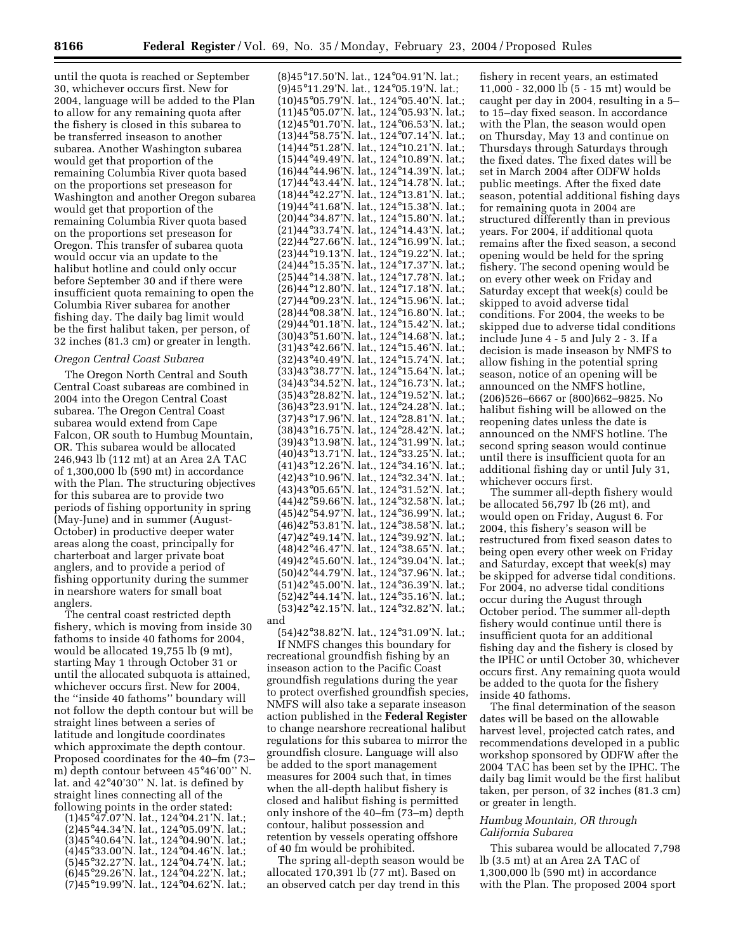until the quota is reached or September 30, whichever occurs first. New for 2004, language will be added to the Plan to allow for any remaining quota after the fishery is closed in this subarea to be transferred inseason to another subarea. Another Washington subarea would get that proportion of the remaining Columbia River quota based on the proportions set preseason for Washington and another Oregon subarea would get that proportion of the remaining Columbia River quota based on the proportions set preseason for Oregon. This transfer of subarea quota would occur via an update to the halibut hotline and could only occur before September 30 and if there were insufficient quota remaining to open the Columbia River subarea for another fishing day. The daily bag limit would be the first halibut taken, per person, of 32 inches (81.3 cm) or greater in length.

#### *Oregon Central Coast Subarea*

The Oregon North Central and South Central Coast subareas are combined in 2004 into the Oregon Central Coast subarea. The Oregon Central Coast subarea would extend from Cape Falcon, OR south to Humbug Mountain, OR. This subarea would be allocated 246,943 lb (112 mt) at an Area 2A TAC of 1,300,000 lb (590 mt) in accordance with the Plan. The structuring objectives for this subarea are to provide two periods of fishing opportunity in spring (May-June) and in summer (August-October) in productive deeper water areas along the coast, principally for charterboat and larger private boat anglers, and to provide a period of fishing opportunity during the summer in nearshore waters for small boat anglers.

The central coast restricted depth fishery, which is moving from inside 30 fathoms to inside 40 fathoms for 2004, would be allocated 19,755 lb (9 mt), starting May 1 through October 31 or until the allocated subquota is attained, whichever occurs first. New for 2004, the ''inside 40 fathoms'' boundary will not follow the depth contour but will be straight lines between a series of latitude and longitude coordinates which approximate the depth contour. Proposed coordinates for the 40–fm (73– m) depth contour between 45°46'00'' N. lat. and 42°40'30'' N. lat. is defined by straight lines connecting all of the following points in the order stated:

(1)45°47.07'N. lat., 124°04.21'N. lat.; (2)45°44.34'N. lat., 124°05.09'N. lat.; (3)45°40.64'N. lat., 124°04.90'N. lat.; (4)45°33.00'N. lat., 124°04.46'N. lat.; (5)45°32.27'N. lat., 124°04.74'N. lat.; (6)45°29.26'N. lat., 124°04.22'N. lat.; (7)45°19.99'N. lat., 124°04.62'N. lat.;

(8)45°17.50'N. lat., 124°04.91'N. lat.; (9)45°11.29'N. lat., 124°05.19'N. lat.; (10)45°05.79'N. lat., 124°05.40'N. lat.; (11)45°05.07'N. lat., 124°05.93'N. lat.; (12)45°01.70'N. lat., 124°06.53'N. lat.; (13)44°58.75'N. lat., 124°07.14'N. lat.; (14)44°51.28'N. lat., 124°10.21'N. lat.; (15)44°49.49'N. lat., 124°10.89'N. lat.; (16)44°44.96'N. lat., 124°14.39'N. lat.; (17)44°43.44'N. lat., 124°14.78'N. lat.; (18)44°42.27'N. lat., 124°13.81'N. lat.; (19)44°41.68'N. lat., 124°15.38'N. lat.; (20)44°34.87'N. lat., 124°15.80'N. lat.; (21)44°33.74'N. lat., 124°14.43'N. lat.; (22)44°27.66'N. lat., 124°16.99'N. lat.; (23)44°19.13'N. lat., 124°19.22'N. lat.; (24)44°15.35'N. lat., 124°17.37'N. lat.; (25)44°14.38'N. lat., 124°17.78'N. lat.; (26)44°12.80'N. lat., 124°17.18'N. lat.; (27)44°09.23'N. lat., 124°15.96'N. lat.; (28)44°08.38'N. lat., 124°16.80'N. lat.; (29)44°01.18'N. lat., 124°15.42'N. lat.; (30)43°51.60'N. lat., 124°14.68'N. lat.; (31)43°42.66'N. lat., 124°15.46'N. lat.; (32)43°40.49'N. lat., 124°15.74'N. lat.; (33)43°38.77'N. lat., 124°15.64'N. lat.; (34)43°34.52'N. lat., 124°16.73'N. lat.; (35)43°28.82'N. lat., 124°19.52'N. lat.; (36)43°23.91'N. lat., 124°24.28'N. lat.; (37)43°17.96'N. lat., 124°28.81'N. lat.; (38)43°16.75'N. lat., 124°28.42'N. lat.; (39)43°13.98'N. lat., 124°31.99'N. lat.; (40)43°13.71'N. lat., 124°33.25'N. lat.; (41)43°12.26'N. lat., 124°34.16'N. lat.; (42)43°10.96'N. lat., 124°32.34'N. lat.; (43)43°05.65'N. lat., 124°31.52'N. lat.; (44)42°59.66'N. lat., 124°32.58'N. lat.; (45)42°54.97'N. lat., 124°36.99'N. lat.; (46)42°53.81'N. lat., 124°38.58'N. lat.; (47)42°49.14'N. lat., 124°39.92'N. lat.; (48)42°46.47'N. lat., 124°38.65'N. lat.; (49)42°45.60'N. lat., 124°39.04'N. lat.; (50)42°44.79'N. lat., 124°37.96'N. lat.; (51)42°45.00'N. lat., 124°36.39'N. lat.; (52)42°44.14'N. lat., 124°35.16'N. lat.; (53)42°42.15'N. lat., 124°32.82'N. lat.; and

(54)42°38.82'N. lat., 124°31.09'N. lat.; If NMFS changes this boundary for recreational groundfish fishing by an inseason action to the Pacific Coast groundfish regulations during the year to protect overfished groundfish species, NMFS will also take a separate inseason action published in the **Federal Register** to change nearshore recreational halibut regulations for this subarea to mirror the groundfish closure. Language will also be added to the sport management measures for 2004 such that, in times when the all-depth halibut fishery is closed and halibut fishing is permitted only inshore of the 40–fm (73–m) depth contour, halibut possession and retention by vessels operating offshore of 40 fm would be prohibited.

The spring all-depth season would be allocated 170,391 lb (77 mt). Based on an observed catch per day trend in this

fishery in recent years, an estimated 11,000 - 32,000 lb (5 - 15 mt) would be caught per day in 2004, resulting in a 5– to 15–day fixed season. In accordance with the Plan, the season would open on Thursday, May 13 and continue on Thursdays through Saturdays through the fixed dates. The fixed dates will be set in March 2004 after ODFW holds public meetings. After the fixed date season, potential additional fishing days for remaining quota in 2004 are structured differently than in previous years. For 2004, if additional quota remains after the fixed season, a second opening would be held for the spring fishery. The second opening would be on every other week on Friday and Saturday except that week(s) could be skipped to avoid adverse tidal conditions. For 2004, the weeks to be skipped due to adverse tidal conditions include June 4 - 5 and July 2 - 3. If a decision is made inseason by NMFS to allow fishing in the potential spring season, notice of an opening will be announced on the NMFS hotline, (206)526–6667 or (800)662–9825. No halibut fishing will be allowed on the reopening dates unless the date is announced on the NMFS hotline. The second spring season would continue until there is insufficient quota for an additional fishing day or until July 31, whichever occurs first.

The summer all-depth fishery would be allocated  $56,797$  lb  $(26 \text{ mt})$ , and would open on Friday, August 6. For 2004, this fishery's season will be restructured from fixed season dates to being open every other week on Friday and Saturday, except that week(s) may be skipped for adverse tidal conditions. For 2004, no adverse tidal conditions occur during the August through October period. The summer all-depth fishery would continue until there is insufficient quota for an additional fishing day and the fishery is closed by the IPHC or until October 30, whichever occurs first. Any remaining quota would be added to the quota for the fishery inside 40 fathoms.

The final determination of the season dates will be based on the allowable harvest level, projected catch rates, and recommendations developed in a public workshop sponsored by ODFW after the 2004 TAC has been set by the IPHC. The daily bag limit would be the first halibut taken, per person, of 32 inches (81.3 cm) or greater in length.

# *Humbug Mountain, OR through California Subarea*

This subarea would be allocated 7,798 lb (3.5 mt) at an Area 2A TAC of 1,300,000 lb (590 mt) in accordance with the Plan. The proposed 2004 sport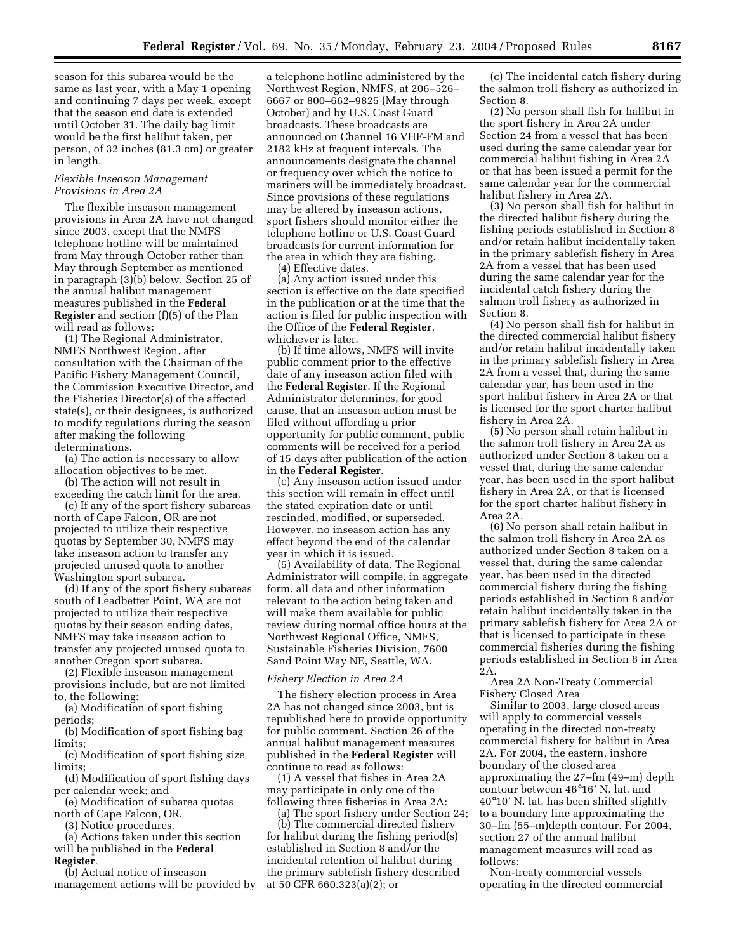season for this subarea would be the same as last year, with a May 1 opening and continuing 7 days per week, except that the season end date is extended until October 31. The daily bag limit would be the first halibut taken, per person, of 32 inches (81.3 cm) or greater in length.

## *Flexible Inseason Management Provisions in Area 2A*

The flexible inseason management provisions in Area 2A have not changed since 2003, except that the NMFS telephone hotline will be maintained from May through October rather than May through September as mentioned in paragraph (3)(b) below. Section 25 of the annual halibut management measures published in the **Federal Register** and section (f)(5) of the Plan will read as follows:

(1) The Regional Administrator, NMFS Northwest Region, after consultation with the Chairman of the Pacific Fishery Management Council, the Commission Executive Director, and the Fisheries Director(s) of the affected state(s), or their designees, is authorized to modify regulations during the season after making the following determinations.

(a) The action is necessary to allow allocation objectives to be met.

(b) The action will not result in exceeding the catch limit for the area.

(c) If any of the sport fishery subareas north of Cape Falcon, OR are not projected to utilize their respective quotas by September 30, NMFS may take inseason action to transfer any projected unused quota to another Washington sport subarea.

(d) If any of the sport fishery subareas south of Leadbetter Point, WA are not projected to utilize their respective quotas by their season ending dates, NMFS may take inseason action to transfer any projected unused quota to another Oregon sport subarea.

(2) Flexible inseason management provisions include, but are not limited to, the following:

(a) Modification of sport fishing periods;

(b) Modification of sport fishing bag limits;

(c) Modification of sport fishing size limits;

(d) Modification of sport fishing days per calendar week; and

(e) Modification of subarea quotas north of Cape Falcon, OR.

(3) Notice procedures.

(a) Actions taken under this section will be published in the **Federal Register**.

(b) Actual notice of inseason management actions will be provided by

a telephone hotline administered by the Northwest Region, NMFS, at 206–526– 6667 or 800–662–9825 (May through October) and by U.S. Coast Guard broadcasts. These broadcasts are announced on Channel 16 VHF-FM and 2182 kHz at frequent intervals. The announcements designate the channel or frequency over which the notice to mariners will be immediately broadcast. Since provisions of these regulations may be altered by inseason actions, sport fishers should monitor either the telephone hotline or U.S. Coast Guard broadcasts for current information for the area in which they are fishing.

(4) Effective dates.

(a) Any action issued under this section is effective on the date specified in the publication or at the time that the action is filed for public inspection with the Office of the **Federal Register**, whichever is later.

(b) If time allows, NMFS will invite public comment prior to the effective date of any inseason action filed with the **Federal Register**. If the Regional Administrator determines, for good cause, that an inseason action must be filed without affording a prior opportunity for public comment, public comments will be received for a period of 15 days after publication of the action in the **Federal Register**.

(c) Any inseason action issued under this section will remain in effect until the stated expiration date or until rescinded, modified, or superseded. However, no inseason action has any effect beyond the end of the calendar year in which it is issued.

(5) Availability of data. The Regional Administrator will compile, in aggregate form, all data and other information relevant to the action being taken and will make them available for public review during normal office hours at the Northwest Regional Office, NMFS, Sustainable Fisheries Division, 7600 Sand Point Way NE, Seattle, WA.

# *Fishery Election in Area 2A*

The fishery election process in Area 2A has not changed since 2003, but is republished here to provide opportunity for public comment. Section 26 of the annual halibut management measures published in the **Federal Register** will continue to read as follows:

(1) A vessel that fishes in Area 2A may participate in only one of the following three fisheries in Area 2A:

(a) The sport fishery under Section 24;

(b) The commercial directed fishery for halibut during the fishing period(s) established in Section 8 and/or the incidental retention of halibut during the primary sablefish fishery described at 50 CFR 660.323(a)(2); or

(c) The incidental catch fishery during the salmon troll fishery as authorized in Section 8.

(2) No person shall fish for halibut in the sport fishery in Area 2A under Section 24 from a vessel that has been used during the same calendar year for commercial halibut fishing in Area 2A or that has been issued a permit for the same calendar year for the commercial halibut fishery in Area 2A.

(3) No person shall fish for halibut in the directed halibut fishery during the fishing periods established in Section 8 and/or retain halibut incidentally taken in the primary sablefish fishery in Area 2A from a vessel that has been used during the same calendar year for the incidental catch fishery during the salmon troll fishery as authorized in Section 8.

(4) No person shall fish for halibut in the directed commercial halibut fishery and/or retain halibut incidentally taken in the primary sablefish fishery in Area 2A from a vessel that, during the same calendar year, has been used in the sport halibut fishery in Area 2A or that is licensed for the sport charter halibut fishery in Area 2A.

(5) No person shall retain halibut in the salmon troll fishery in Area 2A as authorized under Section 8 taken on a vessel that, during the same calendar year, has been used in the sport halibut fishery in Area 2A, or that is licensed for the sport charter halibut fishery in Area 2A.

(6) No person shall retain halibut in the salmon troll fishery in Area 2A as authorized under Section 8 taken on a vessel that, during the same calendar year, has been used in the directed commercial fishery during the fishing periods established in Section 8 and/or retain halibut incidentally taken in the primary sablefish fishery for Area 2A or that is licensed to participate in these commercial fisheries during the fishing periods established in Section 8 in Area 2A.

Area 2A Non-Treaty Commercial Fishery Closed Area

Similar to 2003, large closed areas will apply to commercial vessels operating in the directed non-treaty commercial fishery for halibut in Area 2A. For 2004, the eastern, inshore boundary of the closed area approximating the 27–fm (49–m) depth contour between 46°16' N. lat. and 40°10' N. lat. has been shifted slightly to a boundary line approximating the 30–fm (55–m)depth contour. For 2004, section 27 of the annual halibut management measures will read as follows:

Non-treaty commercial vessels operating in the directed commercial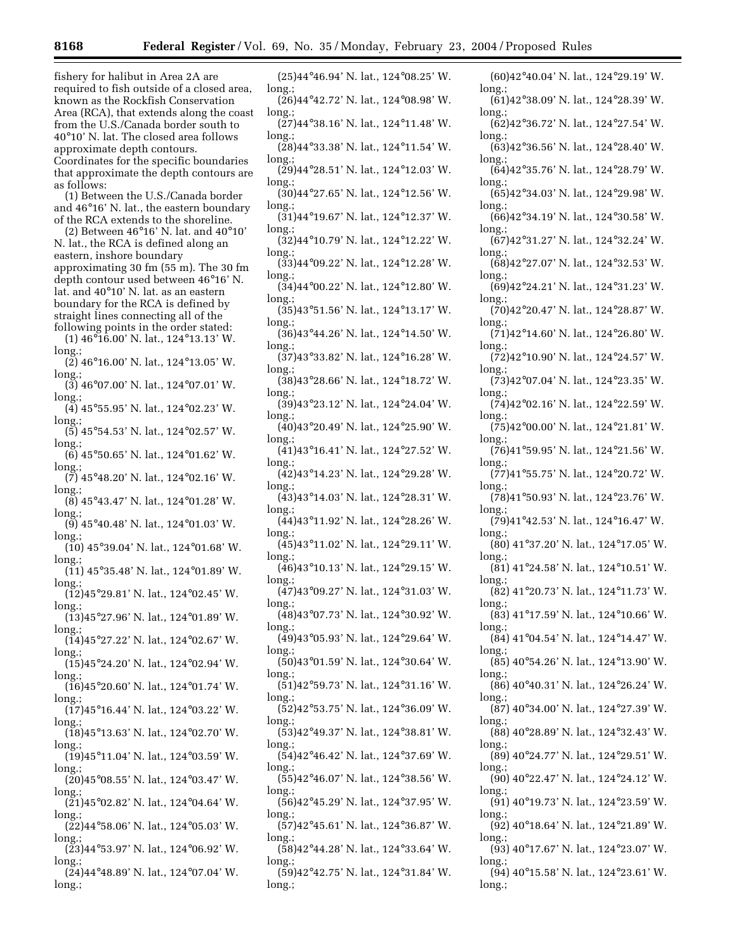fishery for halibut in Area 2A are required to fish outside of a closed area, known as the Rockfish Conservation Area (RCA), that extends along the coast from the U.S./Canada border south to 40°10' N. lat. The closed area follows approximate depth contours. Coordinates for the specific boundaries that approximate the depth contours are as follows:

(1) Between the U.S./Canada border and 46°16' N. lat., the eastern boundary of the RCA extends to the shoreline.

(2) Between 46°16' N. lat. and 40°10' N. lat., the RCA is defined along an eastern, inshore boundary approximating 30 fm (55 m). The 30 fm depth contour used between 46°16' N. lat. and 40°10' N. lat. as an eastern boundary for the RCA is defined by straight lines connecting all of the following points in the order stated:

(1) 46°16.00' N. lat., 124°13.13' W. long.;

 $(2)$  46°16.00' N. lat., 124°13.05' W. long.;

- (3) 46°07.00' N. lat., 124°07.01' W. long.
- (4) 45°55.95' N. lat., 124°02.23' W. long.;
- (5) 45°54.53' N. lat., 124°02.57' W. long.;
- (6) 45°50.65' N. lat., 124°01.62' W. long.

 $(7)$  45°48.20' N. lat., 124°02.16' W. long.; (8) 45°43.47' N. lat., 124°01.28' W.

long.; (9) 45°40.48' N. lat., 124°01.03' W.

long. (10) 45°39.04' N. lat., 124°01.68' W.

- long.  $(11)$  45°35.48' N. lat., 124°01.89' W.
- long. (12)45°29.81' N. lat., 124°02.45' W.

long.; (13)45°27.96' N. lat., 124°01.89' W.

long. (14)45°27.22' N. lat., 124°02.67' W.

long (15)45°24.20' N. lat., 124°02.94' W.

long.; (16)45°20.60' N. lat., 124°01.74' W.

long.;

- (17)45°16.44' N. lat., 124°03.22' W. long. (18)45°13.63' N. lat., 124°02.70' W.
- long. (19)45°11.04' N. lat., 124°03.59' W.

long.;  $(20)45^{\circ}08.55'$  N. lat., 124 $^{\circ}03.47'$  W.

long. (21)45°02.82' N. lat., 124°04.64' W.

long.;  $(22)44^{\circ}58.06$ ' N. lat., 124 $^{\circ}05.03$ ' W.

long.  $(23)44^{\circ}53.97'$  N. lat., 124 $^{\circ}06.92'$  W.

long.;

 $(24)44^{\circ}48.89'$  N. lat., 124 $^{\circ}07.04'$  W. long.;

(25)44°46.94' N. lat., 124°08.25' W. long.; (26)44°42.72' N. lat., 124°08.98' W. long.;  $(27)44^{\circ}38.16'$  N. lat., 124°11.48' W. long.; (28)44°33.38' N. lat., 124°11.54' W. long.; (29)44°28.51' N. lat., 124°12.03' W. long. (30)44°27.65' N. lat., 124°12.56' W. long.; (31)44°19.67' N. lat., 124°12.37' W. long. (32)44°10.79' N. lat., 124°12.22' W. long.; (33)44°09.22' N. lat., 124°12.28' W. long. (34)44°00.22' N. lat., 124°12.80' W. long.; (35)43°51.56' N. lat., 124°13.17' W. long. (36)43°44.26' N. lat., 124°14.50' W. long.; (37)43°33.82' N. lat., 124°16.28' W. long.; (38)43°28.66' N. lat., 124°18.72' W. long.; (39)43°23.12' N. lat., 124°24.04' W. long.; (40)43°20.49' N. lat., 124°25.90' W. long.; (41)43°16.41' N. lat., 124°27.52' W. long.; (42)43°14.23' N. lat., 124°29.28' W. long.; (43)43°14.03' N. lat., 124°28.31' W. long.; (44)43°11.92' N. lat., 124°28.26' W. long.; (45)43°11.02' N. lat., 124°29.11' W. long. (46)43°10.13' N. lat., 124°29.15' W. long.; (47)43°09.27' N. lat., 124°31.03' W. long.; (48)43°07.73' N. lat., 124°30.92' W. long. (49)43°05.93' N. lat., 124°29.64' W. long.; (50)43°01.59' N. lat., 124°30.64' W. long.; (51)42°59.73' N. lat., 124°31.16' W. long.; (52)42°53.75' N. lat., 124°36.09' W. long.; (53)42°49.37' N. lat., 124°38.81' W. long.; (54)42°46.42' N. lat., 124°37.69' W. long.; (55)42°46.07' N. lat., 124°38.56' W. long. (56)42°45.29' N. lat., 124°37.95' W. long.; (57)42°45.61' N. lat., 124°36.87' W. long.; (58)42°44.28' N. lat., 124°33.64' W. long.; (59)42°42.75' N. lat., 124°31.84' W. long.; long. long. long.; long.; long.; long.; long. long. long. long.; long.; long.; long.; long.; long.; long.; long.;  $lnn\sigma$ long.; long.; long. long.; long.; long. long.; long.; long.; long. long. long.; long.; long.; long.; long.;

(60)42°40.04' N. lat., 124°29.19' W. (61)42°38.09' N. lat., 124°28.39' W. (62)42°36.72' N. lat., 124°27.54' W. (63)42°36.56' N. lat., 124°28.40' W. (64)42°35.76' N. lat., 124°28.79' W. (65)42°34.03' N. lat., 124°29.98' W. (66)42°34.19' N. lat., 124°30.58' W. (67)42°31.27' N. lat., 124°32.24' W. (68)42°27.07' N. lat., 124°32.53' W. (69)42°24.21' N. lat., 124°31.23' W. (70)42°20.47' N. lat., 124°28.87' W.  $(71)42^{\circ}14.60$ ' N. lat., 124°26.80' W. (72)42°10.90' N. lat., 124°24.57' W. (73)42°07.04' N. lat., 124°23.35' W. (74)42°02.16' N. lat., 124°22.59' W. (75)42°00.00' N. lat., 124°21.81' W. (76)41°59.95' N. lat., 124°21.56' W. (77)41°55.75' N. lat., 124°20.72' W. (78)41°50.93' N. lat., 124°23.76' W. (79)41°42.53' N. lat., 124°16.47' W. (80) 41°37.20' N. lat., 124°17.05' W. (81) 41°24.58' N. lat., 124°10.51' W. (82) 41°20.73' N. lat., 124°11.73' W. (83) 41°17.59' N. lat., 124°10.66' W. (84) 41°04.54' N. lat., 124°14.47' W. (85) 40°54.26' N. lat., 124°13.90' W. (86) 40°40.31' N. lat., 124°26.24' W. (87) 40°34.00' N. lat., 124°27.39' W. (88) 40°28.89' N. lat., 124°32.43' W. (89) 40°24.77' N. lat., 124°29.51' W. (90) 40°22.47' N. lat., 124°24.12' W. (91) 40°19.73' N. lat., 124°23.59' W. (92) 40°18.64' N. lat., 124°21.89' W. (93) 40°17.67' N. lat., 124°23.07' W.

(94) 40°15.58' N. lat., 124°23.61' W. long.;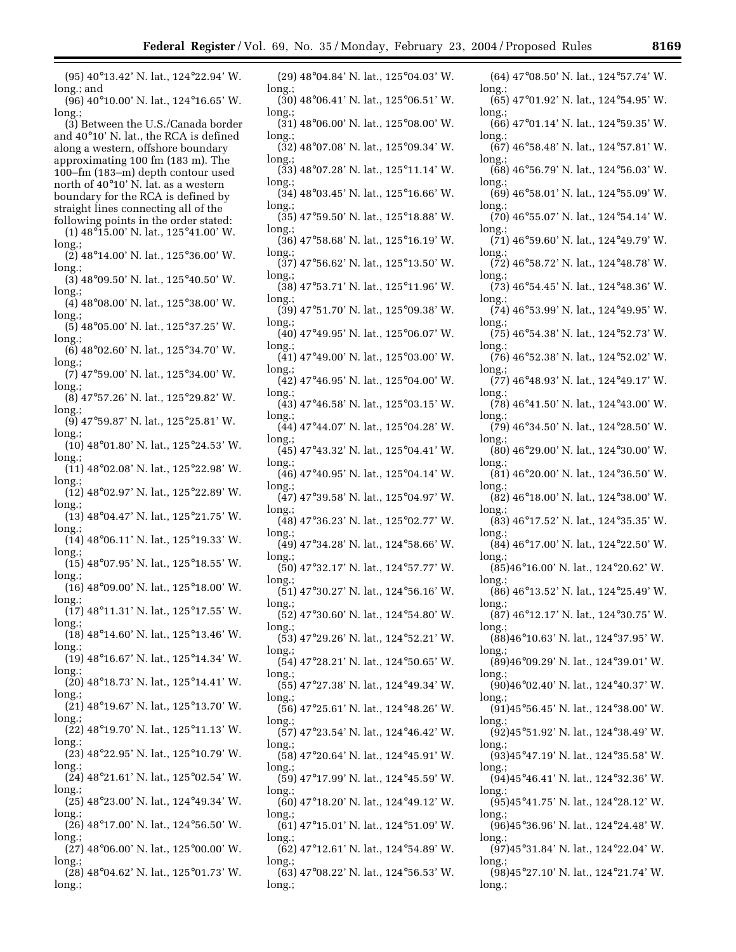۰

| $(95)$ 40°13.42' N. lat., 124°22.94' W.                                               | $(29)$ 48°04.84' N. lat., 125°04.03' W.<br>6                                                |
|---------------------------------------------------------------------------------------|---------------------------------------------------------------------------------------------|
| long.; and<br>(96) 40°10.00' N. lat., 124°16.65' W.                                   | long<br>long.;<br>$(30)$ 48°06.41' N. lat., 125°06.51' W.<br>$(\epsilon$                    |
| long.                                                                                 | lon<br>long.;<br>$(31)$ 48°06.00' N. lat., 125°08.00' W.                                    |
| (3) Between the U.S./Canada border<br>and $40^{\circ}10'$ N. lat., the RCA is defined | $(\epsilon$<br>lon<br>$long$ ;                                                              |
| along a western, offshore boundary                                                    | $(32)$ 48°07.08' N. lat., 125°09.34' W.<br>(€                                               |
| approximating 100 fm (183 m). The<br>100-fm (183-m) depth contour used                | $long$ ;<br>lon<br>$(33)$ 48 $\degree$ 07.28' N. lat., 125 $\degree$ 11.14' W.<br>(e        |
| north of 40°10' N. lat. as a western                                                  | $long$ ;<br>lon                                                                             |
| boundary for the RCA is defined by<br>straight lines connecting all of the            | $(34)$ 48 $\degree$ 03.45' N. lat., 125 $\degree$ 16.66' W.<br>$(\epsilon$<br>lon<br>long.; |
| following points in the order stated:                                                 | $(35)$ 47°59.50' N. lat., 125°18.88' W.<br>$\binom{7}{ }$                                   |
| $(1)$ 48 $\degree$ 15.00' N. lat., 125 $\degree$ 41.00' W.<br>long.;                  | lon<br>$long$ ;<br>$(36)$ 47°58.68' N. lat., 125°16.19' W.<br>$\binom{7}{2}$                |
| $(2)$ 48°14.00' N. lat., 125°36.00' W.                                                | $long$ ;<br>long<br>(37) 47°56.62' N. lat., 125°13.50' W.<br>$\binom{7}{ }$                 |
| $long$ :<br>$(3)$ 48 $\degree$ 09.50' N. lat., 125 $\degree$ 40.50' W.                | $long$ ;<br>lon                                                                             |
| long.;<br>$(4)$ 48 $\degree$ 08.00' N. lat., 125 $\degree$ 38.00' W.                  | $(38)$ 47°53.71' N. lat., 125°11.96' W.<br>17<br>lon<br>long.;                              |
| long.;                                                                                | $(39)$ 47°51.70' N. lat., 125°09.38' W.<br>$\binom{7}{ }$                                   |
| $(5)$ 48 $\degree$ 05.00' N. lat., 125 $\degree$ 37.25' W.<br>long.;                  | lon<br>long.;<br>$(40)$ 47°49.95' N. lat., 125°06.07' W.<br>$\binom{7}{ }$                  |
| (6) 48°02.60' N. lat., 125°34.70' W.                                                  | lon<br>$long$ ;<br>$(41)$ 47°49.00' N. lat., 125°03.00' W.<br>$\binom{7}{ }$                |
| long.;<br>$(7)$ 47°59.00' N. lat., 125°34.00' W.                                      | long:<br>lon                                                                                |
| long.;<br>$(8)$ 47°57.26' N. lat., 125°29.82' W.                                      | $(42)$ 47°46.95' N. lat., 125°04.00' W.<br>$\binom{7}{2}$<br>lon<br>long.;                  |
| long.;                                                                                | $(43)$ 47°46.58' N. lat., 125°03.15' W.<br>$\binom{7}{ }$<br>lon<br>long.;                  |
| $(9)$ 47°59.87' N. lat., 125°25.81' W.<br>$long$ ;                                    | $(44)$ 47°44.07' N. lat., 125°04.28' W.<br>$\binom{7}{2}$                                   |
| $(10)$ 48 $\degree$ 01.80' N. lat., 125 $\degree$ 24.53' W.<br>long.;                 | long<br>$long$ ;<br>$(45)$ 47°43.32' N. lat., 125°04.41' W.<br>8)                           |
| (11) 48°02.08' N. lat., 125°22.98' W.                                                 | lon<br>$long$ ;<br>$(46)$ 47°40.95' N. lat., 125°04.14' W.<br>8)                            |
| long.;<br>$(12)$ 48°02.97' N. lat., 125°22.89' W.                                     | lon<br>long.;<br>(47) 47°39.58' N. lat., 125°04.97' W.                                      |
| long.;<br>$(13)$ 48°04.47' N. lat., 125°21.75' W.                                     | 3)<br>lon<br>long.;                                                                         |
| long.;                                                                                | $(48)$ 47°36.23' N. lat., 125°02.77' W.<br>3)<br>lon<br>long.;                              |
| $(14)$ 48°06.11' N. lat., 125°19.33' W.<br>long.;                                     | $(49)$ 47°34.28' N. lat., 124°58.66' W.<br>8)<br>long:<br>lon                               |
| $(15)$ 48°07.95' N. lat., 125°18.55' W.<br>$long$ .;                                  | $(50)$ 47°32.17' N. lat., 124°57.77' W.<br>3)                                               |
| $(16)$ 48°09.00' N. lat., 125°18.00' W.                                               | long<br>long.;<br>$(51)$ 47°30.27' N. lat., 124°56.16' W.<br>3)                             |
| long.;<br>$(17)$ 48°11.31' N. lat., 125°17.55' W.                                     | lon<br>long.;<br>$(52)$ 47°30.60' N. lat., 124°54.80' W.<br>3)                              |
| long.;<br>$(18)$ 48°14.60' N. lat., 125°13.46' W.                                     | long.;<br>lon                                                                               |
| long.;                                                                                | $(53)$ 47°29.26' N. lat., 124°52.21' W.<br>3)<br>lon<br>long.;                              |
| $(19)$ 48°16.67' N. lat., 125°14.34' W.<br>long.;                                     | $(54)$ 47°28.21' N. lat., 124°50.65' W.<br>18                                               |
| $(20)$ 48°18.73' N. lat., 125°14.41' W.                                               | lon<br>long.;<br>$(55)$ 47°27.38' N. lat., 124°49.34' W.<br>(9                              |
| long.;<br>$(21)$ 48°19.67' N. lat., 125°13.70' W.                                     | lon<br>long.;<br>(56) 47°25.61' N. lat., 124°48.26' W.<br>(9                                |
| long.;<br>(22) 48°19.70' N. lat., 125°11.13' W.                                       | lon<br>long.;                                                                               |
| long.;                                                                                | (57) 47°23.54' N. lat., 124°46.42' W.<br>9)<br>lon<br>long.;                                |
| $(23)$ 48°22.95' N. lat., 125°10.79' W.<br>long.;                                     | (58) 47°20.64' N. lat., 124°45.91' W.<br>ſć<br>lon                                          |
| $(24)$ 48°21.61' N. lat., 125°02.54' W.                                               | long.;<br>(59) 47°17.99' N. lat., 124°45.59' W.<br>(9                                       |
| long.;<br>$(25)$ 48°23.00' N. lat., 124°49.34' W.                                     | long.;<br>lon<br>(60) 47°18.20' N. lat., 124°49.12' W.<br>(9                                |
| long.;<br>$(26)$ 48°17.00' N. lat., 124°56.50' W.                                     | long.;<br>lon<br>$(61)$ 47°15.01' N. lat., 124°51.09' W.<br>(9                              |
| long.;                                                                                | long.;<br>lon                                                                               |
| $(27)$ 48 $\degree$ 06.00' N. lat., 125 $\degree$ 00.00' W.<br>long.;                 | (62) 47°12.61' N. lat., 124°54.89' W.<br>(9<br>lon<br>long.;                                |
| $(28)$ 48 $\degree$ 04.62' N. lat., 125 $\degree$ 01.73' W.<br>long.;                 | $(63)$ 47 $\degree$ 08.22' N. lat., 124 $\degree$ 56.53' W.<br>ſć<br>long.;<br>lon          |
|                                                                                       |                                                                                             |

| $(64)$ 47°08.50' N. lat., 124°57.74' W.                               |
|-----------------------------------------------------------------------|
| long.;<br>$(65)$ 47°01.92' N. lat., 124°54.95' W.                     |
| long.;<br>$(66)$ 47°01.14' N. lat., 124°59.35' W.                     |
| long.;<br>$(67)$ 46°58.48' N. lat., 124°57.81' W.                     |
| long.;                                                                |
| $(68)$ 46°56.79' N. lat., 124°56.03' W.<br>long.;                     |
| $(69)$ 46°58.01' N. lat., 124°55.09' W.<br>long.;                     |
| $(70)$ 46°55.07' N. lat., 124°54.14' W.                               |
| long.;<br>$(71)$ 46°59.60' N. lat., 124°49.79' W.                     |
| long.;<br>$(72)$ 46°58.72' N. lat., 124°48.78' W.                     |
| long.;<br>$(73)$ 46°54.45' N. lat., 124°48.36' W.                     |
| long.;<br>$(74)$ 46°53.99' N. lat., 124°49.95' W.                     |
| long.;                                                                |
| $(75)$ 46°54.38' N. lat., 124°52.73' W.<br>long.;                     |
| $(76)$ 46°52.38' N. lat., 124°52.02' W.<br>long.;                     |
| $(77)$ 46°48.93' N. lat., 124°49.17' W.                               |
| long.;<br>$(78)$ 46 $\degree$ 41.50' N. lat., 124 $\degree$ 43.00' W. |
| long.;<br>$(79)$ 46°34.50' N. lat., 124°28.50' W.                     |
| long.;<br>$(80)$ 46°29.00' N. lat., 124°30.00' W.                     |
| long.;<br>$(81)$ 46°20.00' N. lat., 124°36.50' W.                     |
| long.;                                                                |
| $(82)$ 46°18.00' N. lat., 124°38.00' W.<br>long.;                     |
| $(83)$ 46°17.52' N. lat., 124°35.35' W.<br>long.;                     |
| (84) 46°17.00' N. lat., 124°22.50' W.<br>long.;                       |
| $(85)46^{\circ}16.00'$ N. lat., 124 $^{\circ}20.62'$ W.               |
| long.;<br>$(86)$ 46°13.52' N. lat., 124°25.49' W.                     |
| long.;<br>$(87)$ 46°12.17' N. lat., 124°30.75' W.                     |
| long.;<br>$(88)46^{\circ}10.63'$ N. lat., 124 $^{\circ}37.95'$ W.     |
| long.;                                                                |
| $(89)46^{\circ}09.29'$ N. lat., 124 $^{\circ}39.01'$ W.<br>long.;     |
| (90)46°02.40' N. lat., 124°40.37' W.<br>long.;                        |
| $(91)45^{\circ}56.45'$ N. lat., 124 $^{\circ}38.00'$ W.<br>long.;     |
| $(92)45°51.92'$ N. lat., 124°38.49' W.                                |
| long.;<br>(93)45°47.19' N. lat., 124°35.58' W.                        |
| long.;<br>(94)45°46.41' N. lat., 124°32.36' W.                        |
| long.;<br>$(95)45^{\circ}41.75'$ N. lat., 124 $^{\circ}28.12'$ W.     |
| long.;<br>(96)45°36.96' N. lat., 124°24.48' W.                        |
| long.;                                                                |
| $(97)45°31.84' N.$ lat., 124°22.04' W.<br>long.;                      |
| $(\bar{98})$ 45°27.10' N. lat., 124°21.74' W.<br>long.;               |
|                                                                       |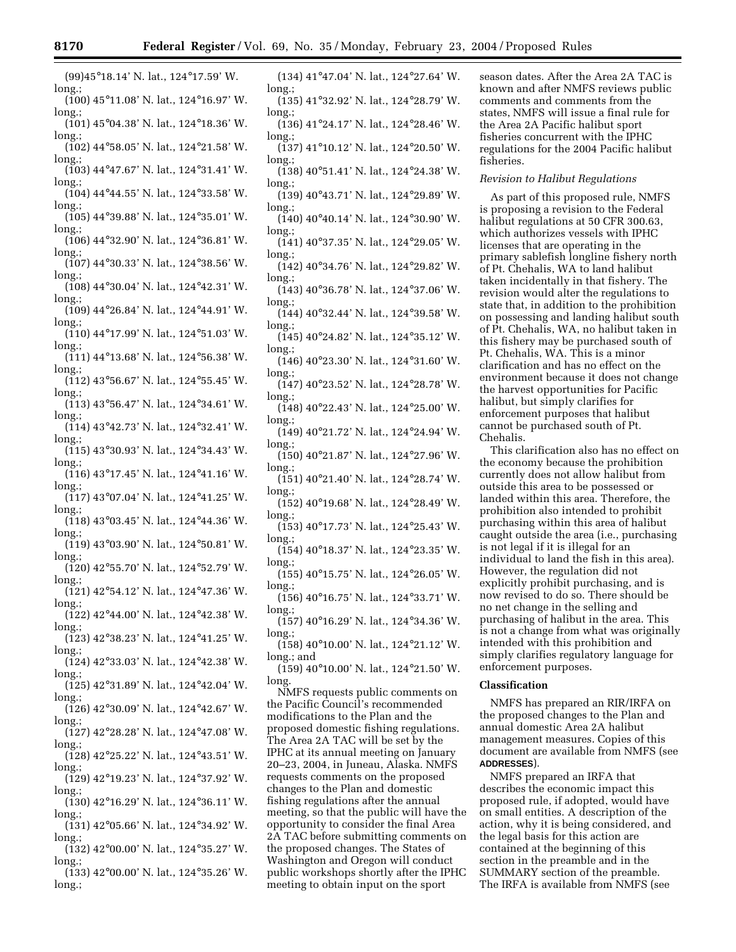long. (101) 45°04.38' N. lat., 124°18.36' W. long.;

(102) 44°58.05' N. lat., 124°21.58' W. long.;

(103) 44°47.67' N. lat., 124°31.41' W. long.;

- (104) 44°44.55' N. lat., 124°33.58' W. long.;
- (105) 44°39.88' N. lat., 124°35.01' W. long.;
- (106) 44°32.90' N. lat., 124°36.81' W. long.
- (107) 44°30.33' N. lat., 124°38.56' W. long.
- (108) 44°30.04' N. lat., 124°42.31' W. long.;
- (109) 44°26.84' N. lat., 124°44.91' W. long.;
- (110) 44°17.99' N. lat., 124°51.03' W. long.;
- (111) 44°13.68' N. lat., 124°56.38' W. long.;
- (112) 43°56.67' N. lat., 124°55.45' W. long.;
- (113) 43°56.47' N. lat., 124°34.61' W. long.;
- (114) 43°42.73' N. lat., 124°32.41' W. long.;
- (115) 43°30.93' N. lat., 124°34.43' W. long.; (116) 43°17.45' N. lat., 124°41.16' W.
- long.;
- (117) 43°07.04' N. lat., 124°41.25' W. long.;
- (118) 43°03.45' N. lat., 124°44.36' W. long.; (119) 43°03.90' N. lat., 124°50.81' W.
- long.; (120) 42°55.70' N. lat., 124°52.79' W.
- long.; (121) 42°54.12' N. lat., 124°47.36' W.
- long.;
- (122) 42°44.00' N. lat., 124°42.38' W. long.; (123) 42°38.23' N. lat., 124°41.25' W.
- long.;
- (124) 42°33.03' N. lat., 124°42.38' W. long.;
- (125) 42°31.89' N. lat., 124°42.04' W. long.;
- (126) 42°30.09' N. lat., 124°42.67' W. long.;
- (127) 42°28.28' N. lat., 124°47.08' W. long.;
- (128) 42°25.22' N. lat., 124°43.51' W. long.;
- (129) 42°19.23' N. lat., 124°37.92' W. long.;
- (130) 42°16.29' N. lat., 124°36.11' W. long.;
- (131) 42°05.66' N. lat., 124°34.92' W. long.;
- (132) 42°00.00' N. lat., 124°35.27' W. long.
- (133) 42°00.00' N. lat., 124°35.26' W. long.;

(134) 41°47.04' N. lat., 124°27.64' W. long.

- (135) 41°32.92' N. lat., 124°28.79' W. long.;
- (136) 41°24.17' N. lat., 124°28.46' W. long.;
- (137) 41°10.12' N. lat., 124°20.50' W. long.;
- (138) 40°51.41' N. lat., 124°24.38' W. long.;
- (139) 40°43.71' N. lat., 124°29.89' W. long.;
- (140) 40°40.14' N. lat., 124°30.90' W. long.;
- (141) 40°37.35' N. lat., 124°29.05' W. long.;
- (142) 40°34.76' N. lat., 124°29.82' W. long.
- (143) 40°36.78' N. lat., 124°37.06' W. long.;
- (144) 40°32.44' N. lat., 124°39.58' W. long.;
- (145) 40°24.82' N. lat., 124°35.12' W. long.;
- (146) 40°23.30' N. lat., 124°31.60' W. long.;
- (147) 40°23.52' N. lat., 124°28.78' W. long.;
- (148) 40°22.43' N. lat., 124°25.00' W. long.;
- (149) 40°21.72' N. lat., 124°24.94' W. long.;
- (150) 40°21.87' N. lat., 124°27.96' W. long.;
- (151) 40°21.40' N. lat., 124°28.74' W. long.;
- (152) 40°19.68' N. lat., 124°28.49' W. long.;
- (153) 40°17.73' N. lat., 124°25.43' W. long.;
- (154) 40°18.37' N. lat., 124°23.35' W. long.;
- (155) 40°15.75' N. lat., 124°26.05' W. long.;
- (156) 40°16.75' N. lat., 124°33.71' W. long.;
- (157) 40°16.29' N. lat., 124°34.36' W. long.
- (158) 40°10.00' N. lat., 124°21.12' W. long.; and
- (159) 40°10.00' N. lat., 124°21.50' W. long.
- NMFS requests public comments on the Pacific Council's recommended modifications to the Plan and the proposed domestic fishing regulations. The Area 2A TAC will be set by the IPHC at its annual meeting on January 20–23, 2004, in Juneau, Alaska. NMFS requests comments on the proposed changes to the Plan and domestic fishing regulations after the annual meeting, so that the public will have the opportunity to consider the final Area 2A TAC before submitting comments on the proposed changes. The States of Washington and Oregon will conduct public workshops shortly after the IPHC meeting to obtain input on the sport

season dates. After the Area 2A TAC is known and after NMFS reviews public comments and comments from the states, NMFS will issue a final rule for the Area 2A Pacific halibut sport fisheries concurrent with the IPHC regulations for the 2004 Pacific halibut fisheries.

#### *Revision to Halibut Regulations*

As part of this proposed rule, NMFS is proposing a revision to the Federal halibut regulations at 50 CFR 300.63, which authorizes vessels with IPHC licenses that are operating in the primary sablefish longline fishery north of Pt. Chehalis, WA to land halibut taken incidentally in that fishery. The revision would alter the regulations to state that, in addition to the prohibition on possessing and landing halibut south of Pt. Chehalis, WA, no halibut taken in this fishery may be purchased south of Pt. Chehalis, WA. This is a minor clarification and has no effect on the environment because it does not change the harvest opportunities for Pacific halibut, but simply clarifies for enforcement purposes that halibut cannot be purchased south of Pt. Chehalis.

This clarification also has no effect on the economy because the prohibition currently does not allow halibut from outside this area to be possessed or landed within this area. Therefore, the prohibition also intended to prohibit purchasing within this area of halibut caught outside the area (i.e., purchasing is not legal if it is illegal for an individual to land the fish in this area). However, the regulation did not explicitly prohibit purchasing, and is now revised to do so. There should be no net change in the selling and purchasing of halibut in the area. This is not a change from what was originally intended with this prohibition and simply clarifies regulatory language for enforcement purposes.

## **Classification**

NMFS has prepared an RIR/IRFA on the proposed changes to the Plan and annual domestic Area 2A halibut management measures. Copies of this document are available from NMFS (see **ADDRESSES**).

NMFS prepared an IRFA that describes the economic impact this proposed rule, if adopted, would have on small entities. A description of the action, why it is being considered, and the legal basis for this action are contained at the beginning of this section in the preamble and in the SUMMARY section of the preamble. The IRFA is available from NMFS (see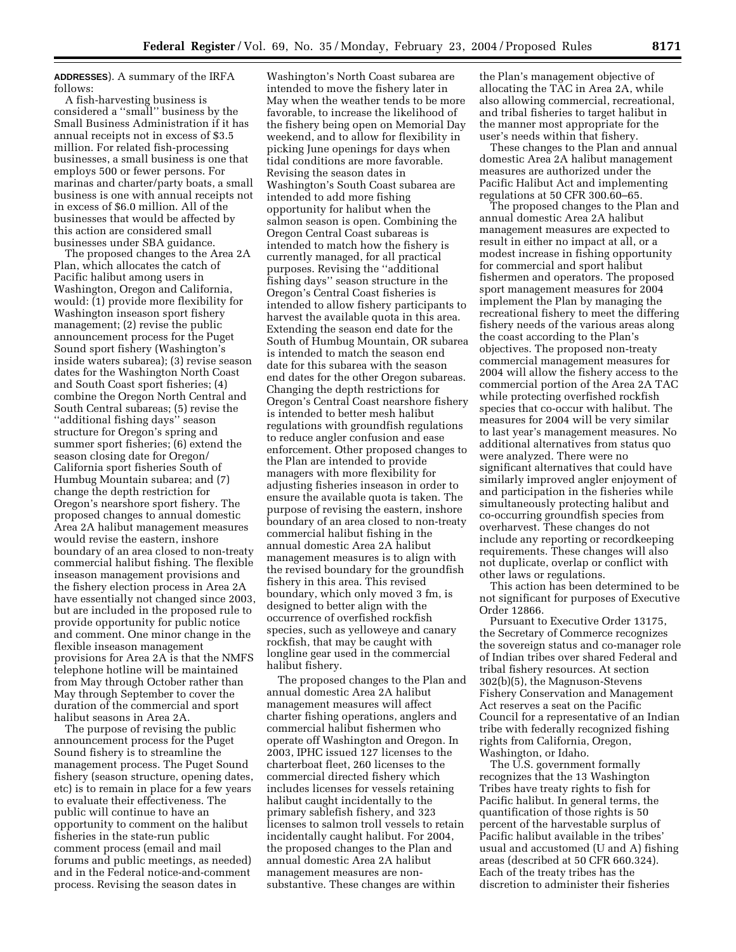**ADDRESSES**). A summary of the IRFA follows:

A fish-harvesting business is considered a ''small'' business by the Small Business Administration if it has annual receipts not in excess of \$3.5 million. For related fish-processing businesses, a small business is one that employs 500 or fewer persons. For marinas and charter/party boats, a small business is one with annual receipts not in excess of \$6.0 million. All of the businesses that would be affected by this action are considered small businesses under SBA guidance.

The proposed changes to the Area 2A Plan, which allocates the catch of Pacific halibut among users in Washington, Oregon and California, would: (1) provide more flexibility for Washington inseason sport fishery management; (2) revise the public announcement process for the Puget Sound sport fishery (Washington's inside waters subarea); (3) revise season dates for the Washington North Coast and South Coast sport fisheries; (4) combine the Oregon North Central and South Central subareas; (5) revise the ''additional fishing days'' season structure for Oregon's spring and summer sport fisheries; (6) extend the season closing date for Oregon/ California sport fisheries South of Humbug Mountain subarea; and (7) change the depth restriction for Oregon's nearshore sport fishery. The proposed changes to annual domestic Area 2A halibut management measures would revise the eastern, inshore boundary of an area closed to non-treaty commercial halibut fishing. The flexible inseason management provisions and the fishery election process in Area 2A have essentially not changed since 2003, but are included in the proposed rule to provide opportunity for public notice and comment. One minor change in the flexible inseason management provisions for Area 2A is that the NMFS telephone hotline will be maintained from May through October rather than May through September to cover the duration of the commercial and sport halibut seasons in Area 2A.

The purpose of revising the public announcement process for the Puget Sound fishery is to streamline the management process. The Puget Sound fishery (season structure, opening dates, etc) is to remain in place for a few years to evaluate their effectiveness. The public will continue to have an opportunity to comment on the halibut fisheries in the state-run public comment process (email and mail forums and public meetings, as needed) and in the Federal notice-and-comment process. Revising the season dates in

Washington's North Coast subarea are intended to move the fishery later in May when the weather tends to be more favorable, to increase the likelihood of the fishery being open on Memorial Day weekend, and to allow for flexibility in picking June openings for days when tidal conditions are more favorable. Revising the season dates in Washington's South Coast subarea are intended to add more fishing opportunity for halibut when the salmon season is open. Combining the Oregon Central Coast subareas is intended to match how the fishery is currently managed, for all practical purposes. Revising the ''additional fishing days'' season structure in the Oregon's Central Coast fisheries is intended to allow fishery participants to harvest the available quota in this area. Extending the season end date for the South of Humbug Mountain, OR subarea is intended to match the season end date for this subarea with the season end dates for the other Oregon subareas. Changing the depth restrictions for Oregon's Central Coast nearshore fishery is intended to better mesh halibut regulations with groundfish regulations to reduce angler confusion and ease enforcement. Other proposed changes to the Plan are intended to provide managers with more flexibility for adjusting fisheries inseason in order to ensure the available quota is taken. The purpose of revising the eastern, inshore boundary of an area closed to non-treaty commercial halibut fishing in the annual domestic Area 2A halibut management measures is to align with the revised boundary for the groundfish fishery in this area. This revised boundary, which only moved 3 fm, is designed to better align with the occurrence of overfished rockfish species, such as yelloweye and canary rockfish, that may be caught with longline gear used in the commercial halibut fishery.

The proposed changes to the Plan and annual domestic Area 2A halibut management measures will affect charter fishing operations, anglers and commercial halibut fishermen who operate off Washington and Oregon. In 2003, IPHC issued 127 licenses to the charterboat fleet, 260 licenses to the commercial directed fishery which includes licenses for vessels retaining halibut caught incidentally to the primary sablefish fishery, and 323 licenses to salmon troll vessels to retain incidentally caught halibut. For 2004, the proposed changes to the Plan and annual domestic Area 2A halibut management measures are nonsubstantive. These changes are within

the Plan's management objective of allocating the TAC in Area 2A, while also allowing commercial, recreational, and tribal fisheries to target halibut in the manner most appropriate for the user's needs within that fishery.

These changes to the Plan and annual domestic Area 2A halibut management measures are authorized under the Pacific Halibut Act and implementing regulations at 50 CFR 300.60–65.

The proposed changes to the Plan and annual domestic Area 2A halibut management measures are expected to result in either no impact at all, or a modest increase in fishing opportunity for commercial and sport halibut fishermen and operators. The proposed sport management measures for 2004 implement the Plan by managing the recreational fishery to meet the differing fishery needs of the various areas along the coast according to the Plan's objectives. The proposed non-treaty commercial management measures for 2004 will allow the fishery access to the commercial portion of the Area 2A TAC while protecting overfished rockfish species that co-occur with halibut. The measures for 2004 will be very similar to last year's management measures. No additional alternatives from status quo were analyzed. There were no significant alternatives that could have similarly improved angler enjoyment of and participation in the fisheries while simultaneously protecting halibut and co-occurring groundfish species from overharvest. These changes do not include any reporting or recordkeeping requirements. These changes will also not duplicate, overlap or conflict with other laws or regulations.

This action has been determined to be not significant for purposes of Executive Order 12866.

Pursuant to Executive Order 13175, the Secretary of Commerce recognizes the sovereign status and co-manager role of Indian tribes over shared Federal and tribal fishery resources. At section 302(b)(5), the Magnuson-Stevens Fishery Conservation and Management Act reserves a seat on the Pacific Council for a representative of an Indian tribe with federally recognized fishing rights from California, Oregon, Washington, or Idaho.

The U.S. government formally recognizes that the 13 Washington Tribes have treaty rights to fish for Pacific halibut. In general terms, the quantification of those rights is 50 percent of the harvestable surplus of Pacific halibut available in the tribes' usual and accustomed (U and A) fishing areas (described at 50 CFR 660.324). Each of the treaty tribes has the discretion to administer their fisheries